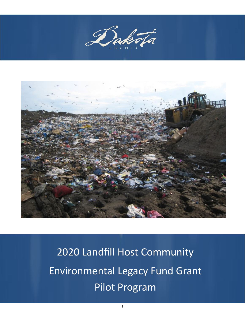



2020 Landfill Host Community Environmental Legacy Fund Grant Pilot Program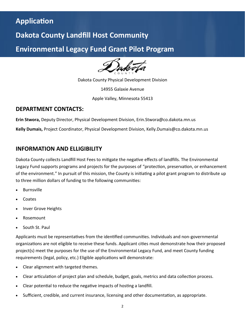## **Application**

## **Dakota County Landfill Host Community**

**Environmental Legacy Fund Grant Pilot Program** 

Dakota County Physical Development Division

14955 Galaxie Avenue

Apple Valley, Minnesota 55413

#### **DEPARTMENT CONTACTS:**

**Erin Stwora,** Deputy Director, Physical Development Division, Erin.Stwora@co.dakota.mn.us

**Kelly Dumais,** Project Coordinator, Physical Development Division, Kelly.Dumais@co.dakota.mn.us

### **INFORMATION AND ELLIGIBILITY**

Dakota County collects Landfill Host Fees to mitigate the negative effects of landfills. The Environmental Legacy Fund supports programs and projects for the purposes of "protection, preservation, or enhancement of the environment." In pursuit of this mission, the County is initiating a pilot grant program to distribute up to three million dollars of funding to the following communities:

- **Burnsville**
- Coates
- Inver Grove Heights
- Rosemount
- South St. Paul

Applicants must be representatives from the identified communities. Individuals and non-governmental organizations are not eligible to receive these funds. Applicant cities must demonstrate how their proposed project(s) meet the purposes for the use of the Environmental Legacy Fund, and meet County funding requirements (legal, policy, etc.) Eligible applications will demonstrate:

- Clear alignment with targeted themes.
- Clear articulation of project plan and schedule, budget, goals, metrics and data collection process.
- Clear potential to reduce the negative impacts of hosting a landfill.
- Sufficient, credible, and current insurance, licensing and other documentation, as appropriate.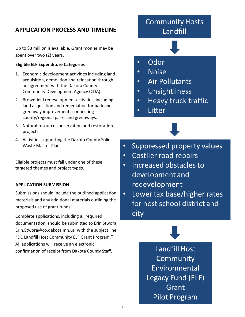## **APPLICATION PROCESS AND TIMELINE**

Up to \$3 million is available. Grant monies may be spent over two (2) years.

#### **Eligible ELF Expenditure Categories**

- 1. Economic development activities including land acquisition, demolition and relocation through an agreement with the Dakota County Community Development Agency (CDA).
- 2. Brownfield redevelopment activities, including land acquisition and remediation for park and greenway improvements connecting county/regional parks and greenways.
- 3. Natural resource conservation and restoration projects.
- 4. Activities supporting the Dakota County Solid Waste Master Plan.

Eligible projects must fall under one of these targeted themes and project types.

#### **APPLICATION SUBMISSION**

Submissions should include the outlined application materials and any additional materials outlining the proposed use of grant funds.

Complete applications, including all required documentation, should be submitted to Erin Stwora, Erin.Stwora@co.dakota.mn.us with the subject line "DC Landfill Host Community ELF Grant Program." All applications will receive an electronic confirmation of receipt from Dakota County Staff.

## **Community Hosts** Landfill

#### Odor  $\bullet$

- **Noise**  $\bullet$
- **Air Pollutants**  $\bullet$
- Unsightliness  $\bullet$
- Heavy truck traffic  $\bullet$
- Litter  $\bullet$



- **Costlier road repairs**  $\bullet$
- Increased obstacles to  $\bullet$ development and redevelopment
- Lower tax base/higher rates  $\bullet$ for host school district and city

**Landfill Host** Community Environmental Legacy Fund (ELF) Grant **Pilot Program**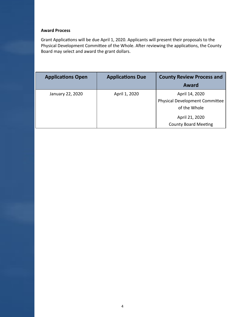#### **Award Process**

Grant Applications will be due April 1, 2020. Applicants will present their proposals to the Physical Development Committee of the Whole. After reviewing the applications, the County Board may select and award the grant dollars.

| <b>Applications Open</b> | <b>Applications Due</b> | <b>County Review Process and</b><br>Award                               |
|--------------------------|-------------------------|-------------------------------------------------------------------------|
| January 22, 2020         | April 1, 2020           | April 14, 2020<br><b>Physical Development Committee</b><br>of the Whole |
|                          |                         | April 21, 2020<br><b>County Board Meeting</b>                           |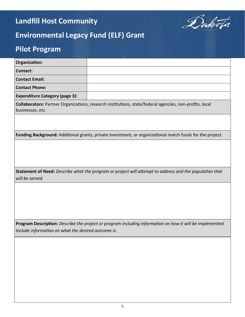# **Landfill Host Community**



# **Environmental Legacy Fund (ELF) Grant**

# **Pilot Program**

| Organization:                                       |                                                                                                           |
|-----------------------------------------------------|-----------------------------------------------------------------------------------------------------------|
| <b>Contact:</b>                                     |                                                                                                           |
| <b>Contact Email:</b>                               |                                                                                                           |
| <b>Contact Phone:</b>                               |                                                                                                           |
| <b>Expenditure Category (page 3):</b>               |                                                                                                           |
| businesses, etc.                                    | Collaborators: Partner Organizations, research institutions, state/federal agencies, non-profits, local   |
|                                                     |                                                                                                           |
|                                                     | Funding Background: Additional grants, private investment, or organizational match funds for the project. |
|                                                     |                                                                                                           |
| will be served.                                     | Statement of Need: Describe what the program or project will attempt to address and the population that   |
|                                                     |                                                                                                           |
|                                                     |                                                                                                           |
|                                                     |                                                                                                           |
|                                                     |                                                                                                           |
| Include information on what the desired outcome is. | Program Description: Describe the project or program including information on how it will be implemented. |
|                                                     |                                                                                                           |
|                                                     |                                                                                                           |
|                                                     |                                                                                                           |